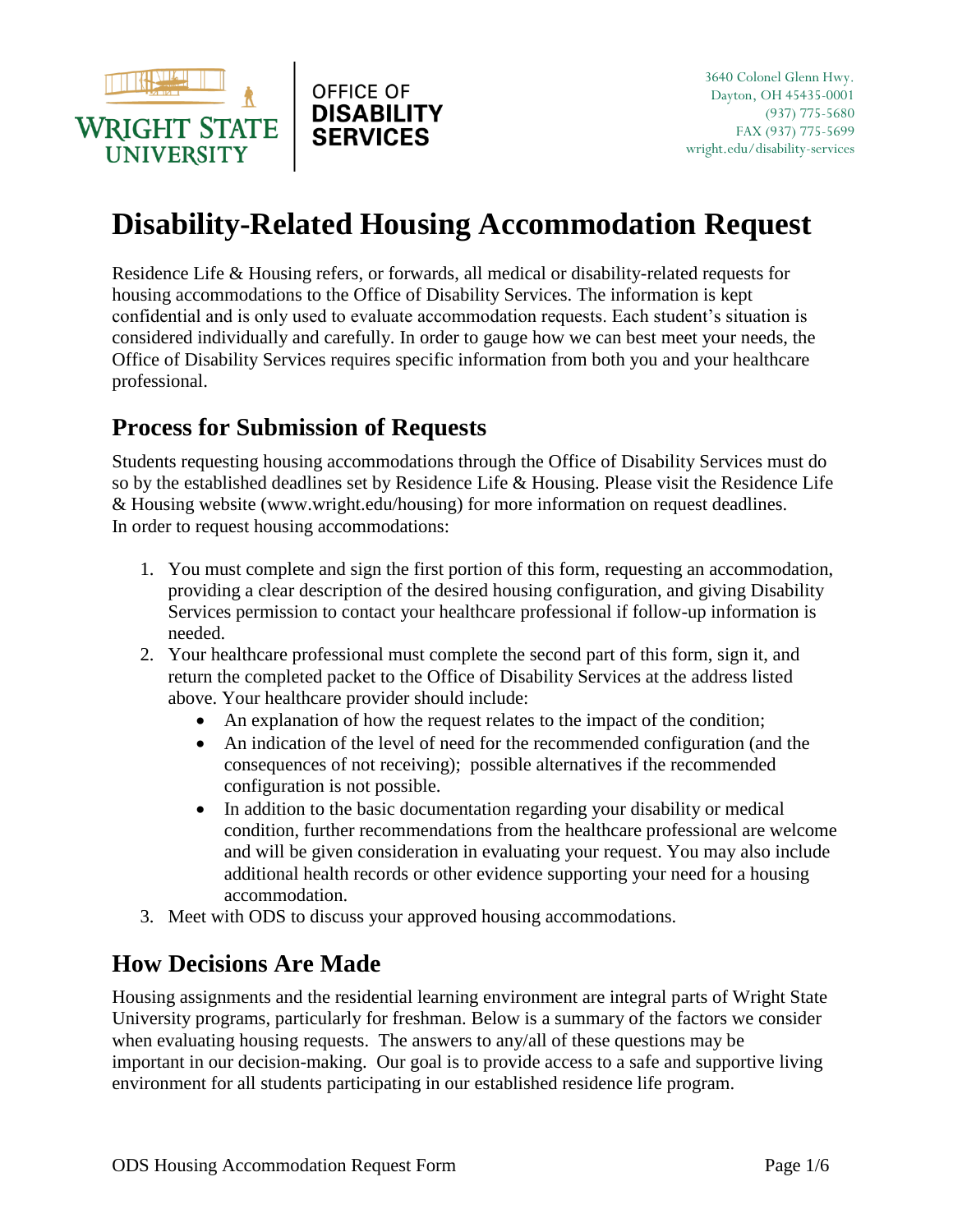

# **Disability-Related Housing Accommodation Request**

Residence Life & Housing refers, or forwards, all medical or disability-related requests for housing accommodations to the Office of Disability Services. The information is kept confidential and is only used to evaluate accommodation requests. Each student's situation is considered individually and carefully. In order to gauge how we can best meet your needs, the Office of Disability Services requires specific information from both you and your healthcare professional.

### **Process for Submission of Requests**

Students requesting housing accommodations through the Office of Disability Services must do so by the established deadlines set by Residence Life & Housing. Please visit the Residence Life & Housing website (www.wright.edu/housing) for more information on request deadlines. In order to request housing accommodations:

- 1. You must complete and sign the first portion of this form, requesting an accommodation, providing a clear description of the desired housing configuration, and giving Disability Services permission to contact your healthcare professional if follow-up information is needed.
- 2. Your healthcare professional must complete the second part of this form, sign it, and return the completed packet to the Office of Disability Services at the address listed above. Your healthcare provider should include:
	- An explanation of how the request relates to the impact of the condition;
	- An indication of the level of need for the recommended configuration (and the consequences of not receiving); possible alternatives if the recommended configuration is not possible.
	- In addition to the basic documentation regarding your disability or medical condition, further recommendations from the healthcare professional are welcome and will be given consideration in evaluating your request. You may also include additional health records or other evidence supporting your need for a housing accommodation.
- 3. Meet with ODS to discuss your approved housing accommodations.

### **How Decisions Are Made**

Housing assignments and the residential learning environment are integral parts of Wright State University programs, particularly for freshman. Below is a summary of the factors we consider when evaluating housing requests. The answers to any/all of these questions may be important in our decision-making. Our goal is to provide access to a safe and supportive living environment for all students participating in our established residence life program.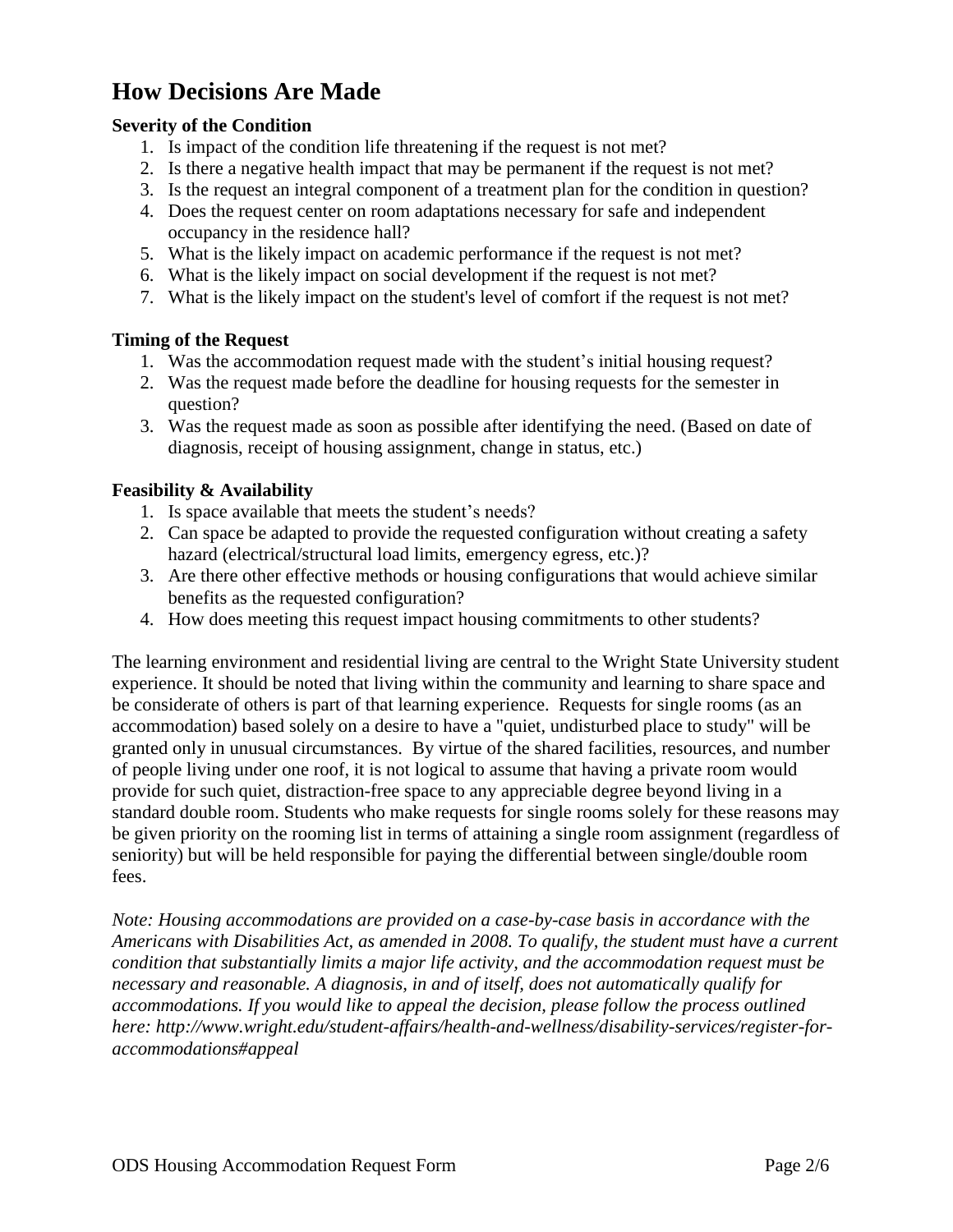# **How Decisions Are Made**

#### **Severity of the Condition**

- 1. Is impact of the condition life threatening if the request is not met?
- 2. Is there a negative health impact that may be permanent if the request is not met?
- 3. Is the request an integral component of a treatment plan for the condition in question?
- 4. Does the request center on room adaptations necessary for safe and independent occupancy in the residence hall?
- 5. What is the likely impact on academic performance if the request is not met?
- 6. What is the likely impact on social development if the request is not met?
- 7. What is the likely impact on the student's level of comfort if the request is not met?

#### **Timing of the Request**

- 1. Was the accommodation request made with the student's initial housing request?
- 2. Was the request made before the deadline for housing requests for the semester in question?
- 3. Was the request made as soon as possible after identifying the need. (Based on date of diagnosis, receipt of housing assignment, change in status, etc.)

#### **Feasibility & Availability**

- 1. Is space available that meets the student's needs?
- 2. Can space be adapted to provide the requested configuration without creating a safety hazard (electrical/structural load limits, emergency egress, etc.)?
- 3. Are there other effective methods or housing configurations that would achieve similar benefits as the requested configuration?
- 4. How does meeting this request impact housing commitments to other students?

The learning environment and residential living are central to the Wright State University student experience. It should be noted that living within the community and learning to share space and be considerate of others is part of that learning experience. Requests for single rooms (as an accommodation) based solely on a desire to have a "quiet, undisturbed place to study" will be granted only in unusual circumstances. By virtue of the shared facilities, resources, and number of people living under one roof, it is not logical to assume that having a private room would provide for such quiet, distraction-free space to any appreciable degree beyond living in a standard double room. Students who make requests for single rooms solely for these reasons may be given priority on the rooming list in terms of attaining a single room assignment (regardless of seniority) but will be held responsible for paying the differential between single/double room fees.

*Note: Housing accommodations are provided on a case-by-case basis in accordance with the Americans with Disabilities Act, as amended in 2008. To qualify, the student must have a current condition that substantially limits a major life activity, and the accommodation request must be necessary and reasonable. A diagnosis, in and of itself, does not automatically qualify for accommodations. If you would like to appeal the decision, please follow the process outlined here: http://www.wright.edu/student-affairs/health-and-wellness/disability-services/register-foraccommodations#appeal*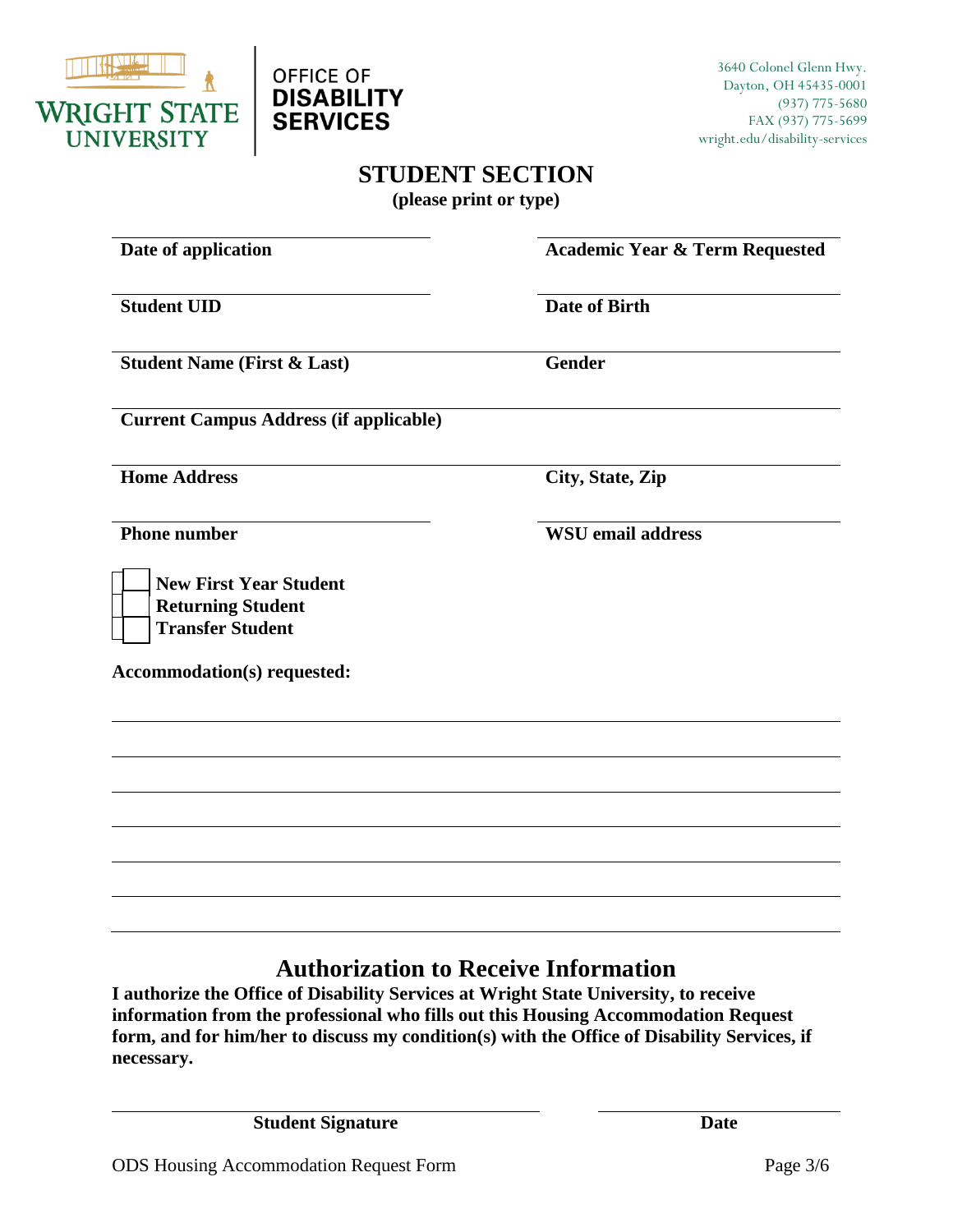



3640 Colonel Glenn Hwy. Dayton, OH 45435-0001 (937) 775-5680 FAX (937) 775-5699 wright.edu/disability-services

# **STUDENT SECTION**

**(please print or type)**

| Date of application                                                                  | <b>Academic Year &amp; Term Requested</b> |  |  |
|--------------------------------------------------------------------------------------|-------------------------------------------|--|--|
| <b>Student UID</b>                                                                   | <b>Date of Birth</b>                      |  |  |
| <b>Student Name (First &amp; Last)</b>                                               | <b>Gender</b>                             |  |  |
| <b>Current Campus Address (if applicable)</b>                                        |                                           |  |  |
| <b>Home Address</b>                                                                  | City, State, Zip                          |  |  |
| <b>Phone number</b>                                                                  | <b>WSU</b> email address                  |  |  |
| <b>New First Year Student</b><br><b>Returning Student</b><br><b>Transfer Student</b> |                                           |  |  |
| Accommodation(s) requested:                                                          |                                           |  |  |
|                                                                                      |                                           |  |  |
|                                                                                      |                                           |  |  |
|                                                                                      |                                           |  |  |
|                                                                                      |                                           |  |  |

# **Authorization to Receive Information**

**I authorize the Office of Disability Services at Wright State University, to receive information from the professional who fills out this Housing Accommodation Request form, and for him/her to discuss my condition(s) with the Office of Disability Services, if necessary.**

**Student Signature Date**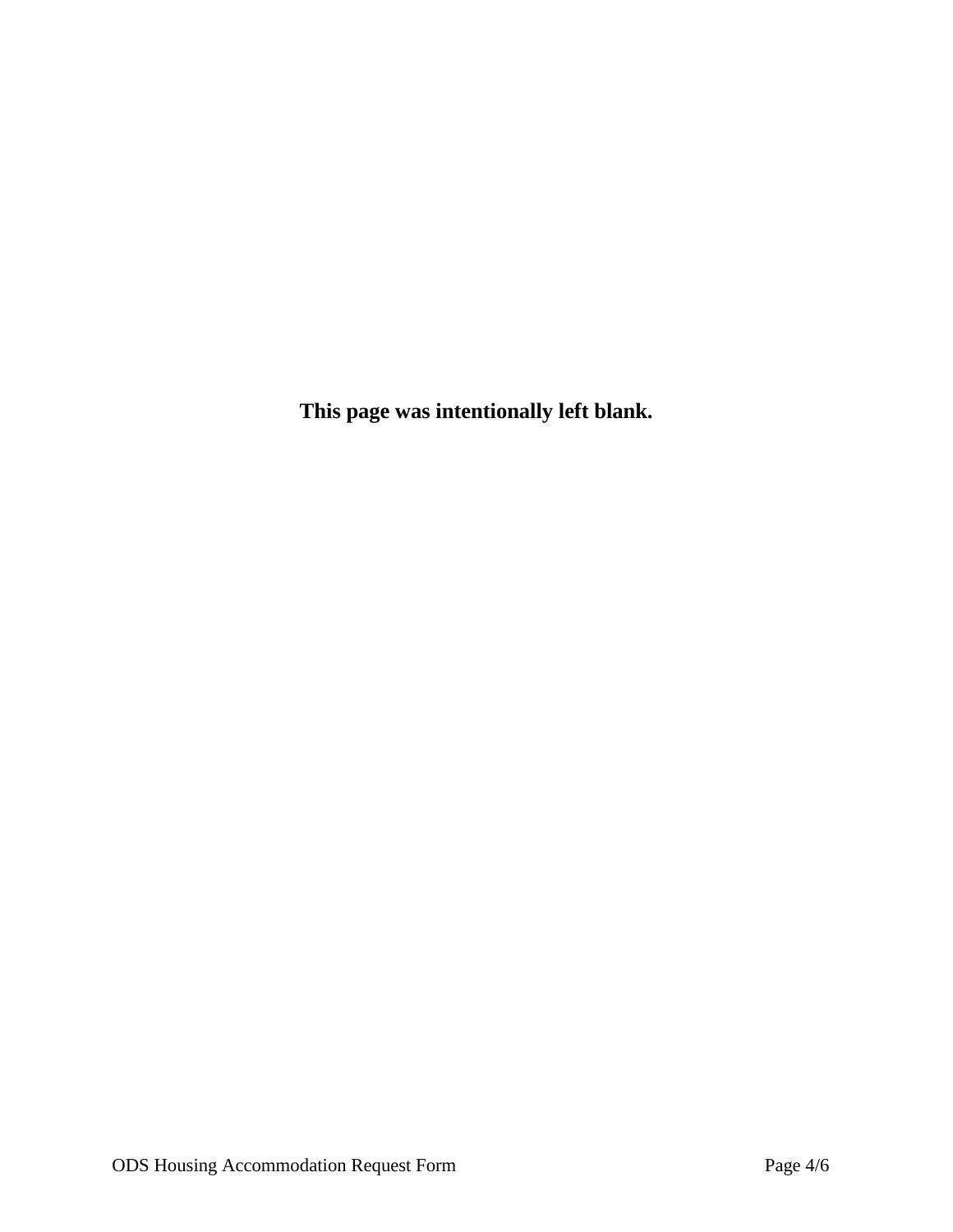**This page was intentionally left blank.**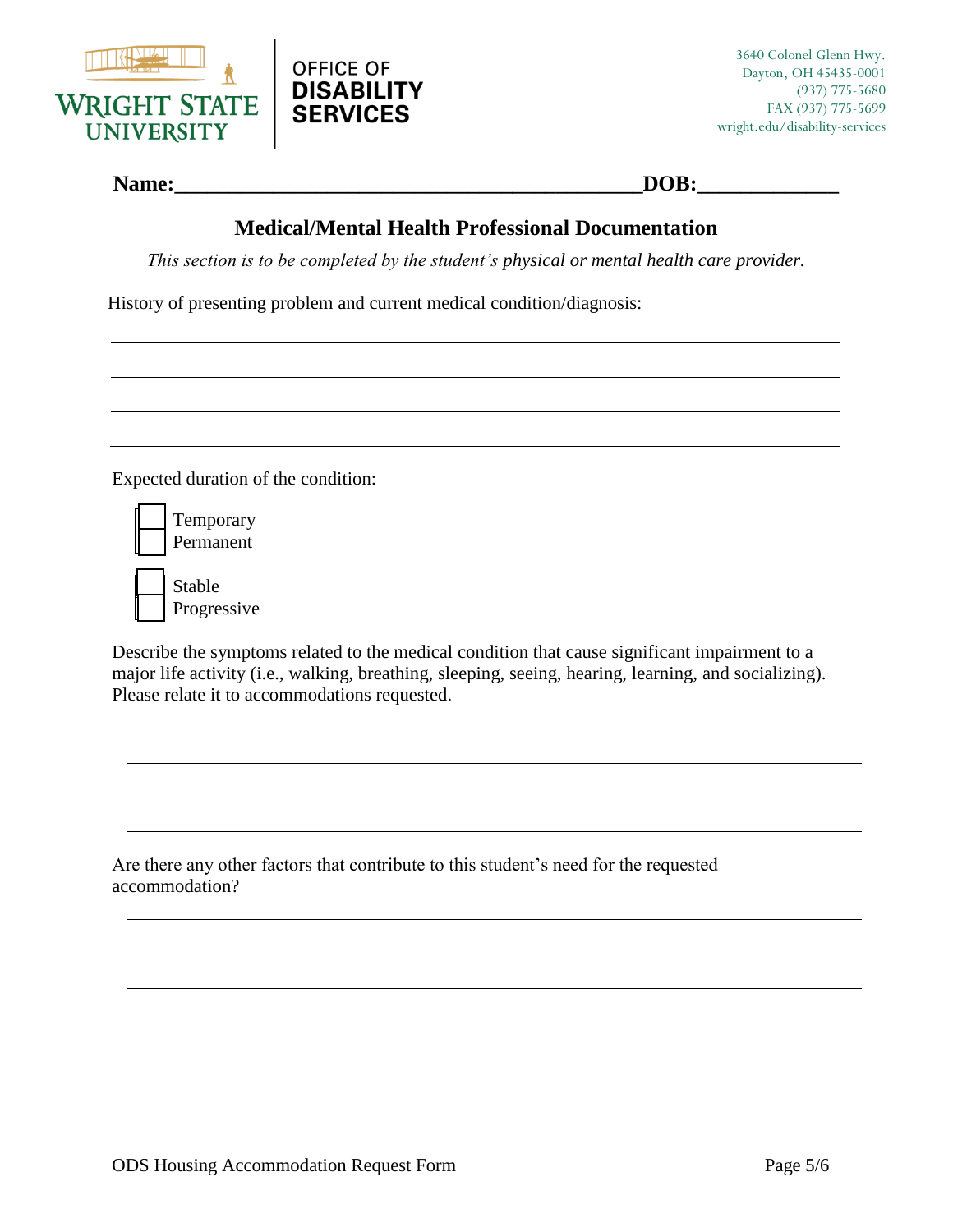

### **OFFICE OF DISABILITY SERVICES**

#### Name: **DOB:**

#### **Medical/Mental Health Professional Documentation**

*This section is to be completed by the student's physical or mental health care provider.*

History of presenting problem and current medical condition/diagnosis:

Expected duration of the condition:

Temporary Permanent Stable

Progressive

Describe the symptoms related to the medical condition that cause significant impairment to a major life activity (i.e., walking, breathing, sleeping, seeing, hearing, learning, and socializing). Please relate it to accommodations requested.

Are there any other factors that contribute to this student's need for the requested accommodation?